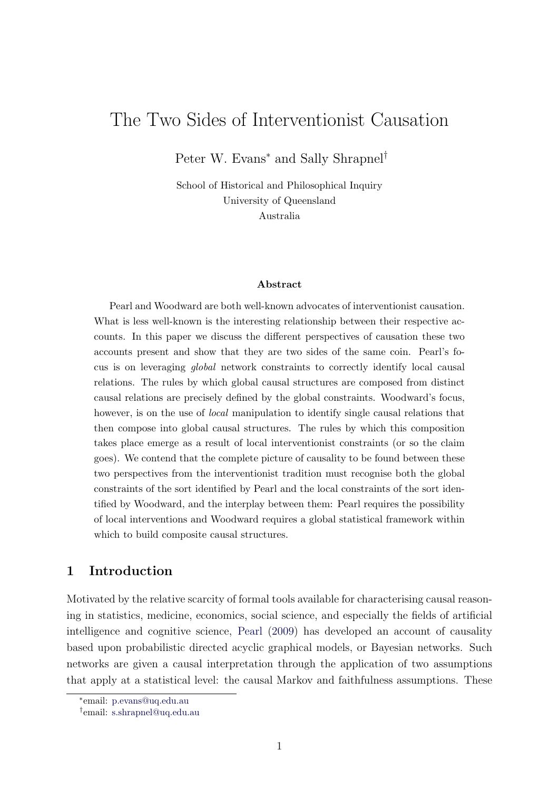# The Two Sides of Interventionist Causation

Peter W. Evans<sup>∗</sup> and Sally Shrapnel<sup>†</sup>

School of Historical and Philosophical Inquiry University of Queensland Australia

#### Abstract

Pearl and Woodward are both well-known advocates of interventionist causation. What is less well-known is the interesting relationship between their respective accounts. In this paper we discuss the different perspectives of causation these two accounts present and show that they are two sides of the same coin. Pearl's focus is on leveraging global network constraints to correctly identify local causal relations. The rules by which global causal structures are composed from distinct causal relations are precisely defined by the global constraints. Woodward's focus, however, is on the use of *local* manipulation to identify single causal relations that then compose into global causal structures. The rules by which this composition takes place emerge as a result of local interventionist constraints (or so the claim goes). We contend that the complete picture of causality to be found between these two perspectives from the interventionist tradition must recognise both the global constraints of the sort identified by Pearl and the local constraints of the sort identified by Woodward, and the interplay between them: Pearl requires the possibility of local interventions and Woodward requires a global statistical framework within which to build composite causal structures.

## 1 Introduction

Motivated by the relative scarcity of formal tools available for characterising causal reasoning in statistics, medicine, economics, social science, and especially the fields of artificial intelligence and cognitive science, [Pearl](#page-12-0) [\(2009\)](#page-12-0) has developed an account of causality based upon probabilistic directed acyclic graphical models, or Bayesian networks. Such networks are given a causal interpretation through the application of two assumptions that apply at a statistical level: the causal Markov and faithfulness assumptions. These

<sup>∗</sup> email: [p.evans@uq.edu.au](mailto:p.evans@uq.edu.au)

<sup>†</sup> email: [s.shrapnel@uq.edu.au](mailto:s.shrapnel@uq.edu.au)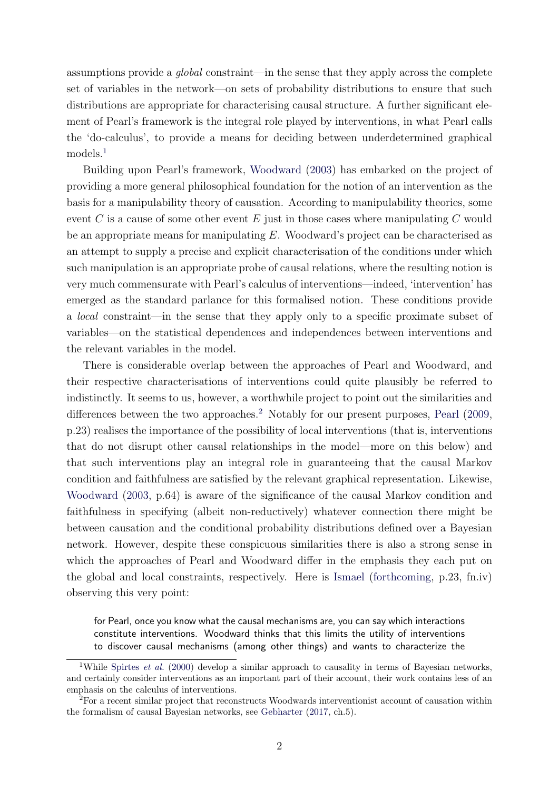assumptions provide a global constraint—in the sense that they apply across the complete set of variables in the network—on sets of probability distributions to ensure that such distributions are appropriate for characterising causal structure. A further significant element of Pearl's framework is the integral role played by interventions, in what Pearl calls the 'do-calculus', to provide a means for deciding between underdetermined graphical models.[1](#page-1-0)

Building upon Pearl's framework, [Woodward](#page-13-0) [\(2003\)](#page-13-0) has embarked on the project of providing a more general philosophical foundation for the notion of an intervention as the basis for a manipulability theory of causation. According to manipulability theories, some event  $C$  is a cause of some other event  $E$  just in those cases where manipulating  $C$  would be an appropriate means for manipulating E. Woodward's project can be characterised as an attempt to supply a precise and explicit characterisation of the conditions under which such manipulation is an appropriate probe of causal relations, where the resulting notion is very much commensurate with Pearl's calculus of interventions—indeed, 'intervention' has emerged as the standard parlance for this formalised notion. These conditions provide a local constraint—in the sense that they apply only to a specific proximate subset of variables—on the statistical dependences and independences between interventions and the relevant variables in the model.

There is considerable overlap between the approaches of Pearl and Woodward, and their respective characterisations of interventions could quite plausibly be referred to indistinctly. It seems to us, however, a worthwhile project to point out the similarities and differences between the two approaches.<sup>[2](#page-1-1)</sup> Notably for our present purposes, [Pearl](#page-12-0)  $(2009,$ p.23) realises the importance of the possibility of local interventions (that is, interventions that do not disrupt other causal relationships in the model—more on this below) and that such interventions play an integral role in guaranteeing that the causal Markov condition and faithfulness are satisfied by the relevant graphical representation. Likewise, [Woodward](#page-13-0) [\(2003,](#page-13-0) p.64) is aware of the significance of the causal Markov condition and faithfulness in specifying (albeit non-reductively) whatever connection there might be between causation and the conditional probability distributions defined over a Bayesian network. However, despite these conspicuous similarities there is also a strong sense in which the approaches of Pearl and Woodward differ in the emphasis they each put on the global and local constraints, respectively. Here is [Ismael](#page-12-1) [\(forthcoming,](#page-12-1) p.23, fn.iv) observing this very point:

for Pearl, once you know what the causal mechanisms are, you can say which interactions constitute interventions. Woodward thinks that this limits the utility of interventions to discover causal mechanisms (among other things) and wants to characterize the

<span id="page-1-0"></span><sup>&</sup>lt;sup>1</sup>While [Spirtes](#page-12-2) *et al.* [\(2000\)](#page-12-2) develop a similar approach to causality in terms of Bayesian networks, and certainly consider interventions as an important part of their account, their work contains less of an emphasis on the calculus of interventions.

<span id="page-1-1"></span> ${}^{2}$ For a recent similar project that reconstructs Woodwards interventionist account of causation within the formalism of causal Bayesian networks, see [Gebharter](#page-12-3) [\(2017,](#page-12-3) ch.5).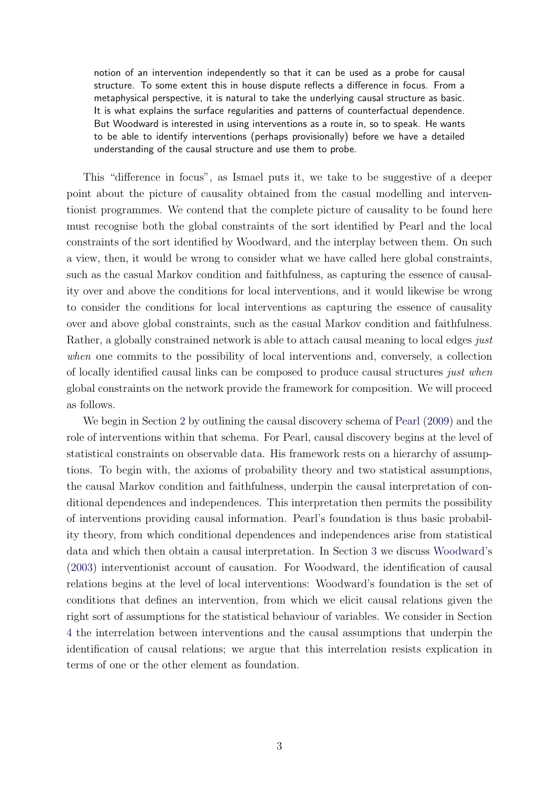notion of an intervention independently so that it can be used as a probe for causal structure. To some extent this in house dispute reflects a difference in focus. From a metaphysical perspective, it is natural to take the underlying causal structure as basic. It is what explains the surface regularities and patterns of counterfactual dependence. But Woodward is interested in using interventions as a route in, so to speak. He wants to be able to identify interventions (perhaps provisionally) before we have a detailed understanding of the causal structure and use them to probe.

This "difference in focus", as Ismael puts it, we take to be suggestive of a deeper point about the picture of causality obtained from the casual modelling and interventionist programmes. We contend that the complete picture of causality to be found here must recognise both the global constraints of the sort identified by Pearl and the local constraints of the sort identified by Woodward, and the interplay between them. On such a view, then, it would be wrong to consider what we have called here global constraints, such as the casual Markov condition and faithfulness, as capturing the essence of causality over and above the conditions for local interventions, and it would likewise be wrong to consider the conditions for local interventions as capturing the essence of causality over and above global constraints, such as the casual Markov condition and faithfulness. Rather, a globally constrained network is able to attach causal meaning to local edges just when one commits to the possibility of local interventions and, conversely, a collection of locally identified causal links can be composed to produce causal structures just when global constraints on the network provide the framework for composition. We will proceed as follows.

We begin in Section [2](#page-3-0) by outlining the causal discovery schema of [Pearl](#page-12-0) [\(2009\)](#page-12-0) and the role of interventions within that schema. For Pearl, causal discovery begins at the level of statistical constraints on observable data. His framework rests on a hierarchy of assumptions. To begin with, the axioms of probability theory and two statistical assumptions, the causal Markov condition and faithfulness, underpin the causal interpretation of conditional dependences and independences. This interpretation then permits the possibility of interventions providing causal information. Pearl's foundation is thus basic probability theory, from which conditional dependences and independences arise from statistical data and which then obtain a causal interpretation. In Section [3](#page-5-0) we discuss [Woodward'](#page-13-0)s [\(2003\)](#page-13-0) interventionist account of causation. For Woodward, the identification of causal relations begins at the level of local interventions: Woodward's foundation is the set of conditions that defines an intervention, from which we elicit causal relations given the right sort of assumptions for the statistical behaviour of variables. We consider in Section [4](#page-9-0) the interrelation between interventions and the causal assumptions that underpin the identification of causal relations; we argue that this interrelation resists explication in terms of one or the other element as foundation.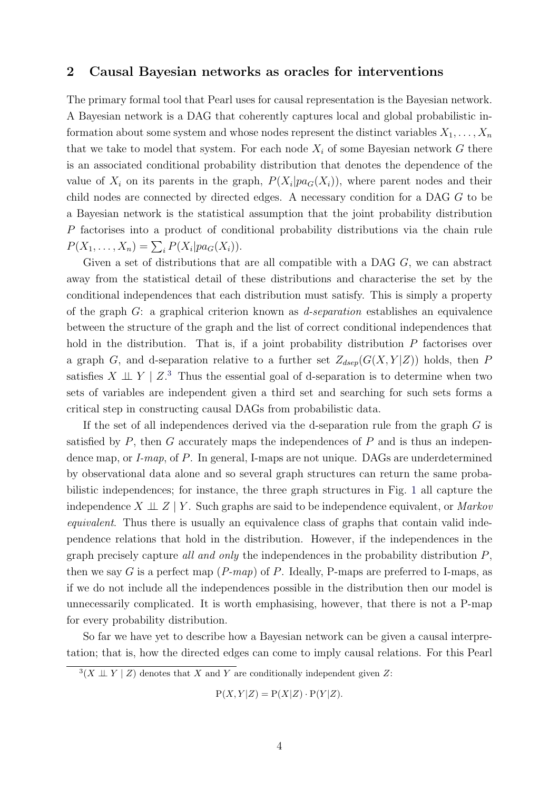### <span id="page-3-0"></span>2 Causal Bayesian networks as oracles for interventions

The primary formal tool that Pearl uses for causal representation is the Bayesian network. A Bayesian network is a DAG that coherently captures local and global probabilistic information about some system and whose nodes represent the distinct variables  $X_1, \ldots, X_n$ that we take to model that system. For each node  $X_i$  of some Bayesian network G there is an associated conditional probability distribution that denotes the dependence of the value of  $X_i$  on its parents in the graph,  $P(X_i|pa_G(X_i))$ , where parent nodes and their child nodes are connected by directed edges. A necessary condition for a DAG G to be a Bayesian network is the statistical assumption that the joint probability distribution P factorises into a product of conditional probability distributions via the chain rule  $P(X_1, ..., X_n) = \sum_i P(X_i | pa_G(X_i)).$ 

Given a set of distributions that are all compatible with a DAG G, we can abstract away from the statistical detail of these distributions and characterise the set by the conditional independences that each distribution must satisfy. This is simply a property of the graph  $G$ : a graphical criterion known as *d-separation* establishes an equivalence between the structure of the graph and the list of correct conditional independences that hold in the distribution. That is, if a joint probability distribution P factorises over a graph G, and d-separation relative to a further set  $Z_{dsep}(G(X, Y|Z))$  holds, then P satisfies  $X \perp \!\!\!\perp Y \mid Z$ <sup>[3](#page-3-1)</sup>. Thus the essential goal of d-separation is to determine when two sets of variables are independent given a third set and searching for such sets forms a critical step in constructing causal DAGs from probabilistic data.

If the set of all independences derived via the d-separation rule from the graph G is satisfied by  $P$ , then  $G$  accurately maps the independences of  $P$  and is thus an independence map, or *I-map*, of *P*. In general, I-maps are not unique. DAGs are underdetermined by observational data alone and so several graph structures can return the same probabilistic independences; for instance, the three graph structures in Fig. [1](#page-4-0) all capture the independence  $X \perp\!\!\!\perp Z \mid Y$ . Such graphs are said to be independence equivalent, or *Markov* equivalent. Thus there is usually an equivalence class of graphs that contain valid independence relations that hold in the distribution. However, if the independences in the graph precisely capture all and only the independences in the probability distribution  $P$ , then we say G is a perfect map  $(P-map)$  of P. Ideally, P-maps are preferred to I-maps, as if we do not include all the independences possible in the distribution then our model is unnecessarily complicated. It is worth emphasising, however, that there is not a P-map for every probability distribution.

So far we have yet to describe how a Bayesian network can be given a causal interpretation; that is, how the directed edges can come to imply causal relations. For this Pearl

$$
P(X, Y|Z) = P(X|Z) \cdot P(Y|Z).
$$

<span id="page-3-1"></span> $3(X \perp Y \mid Z)$  denotes that X and Y are conditionally independent given Z: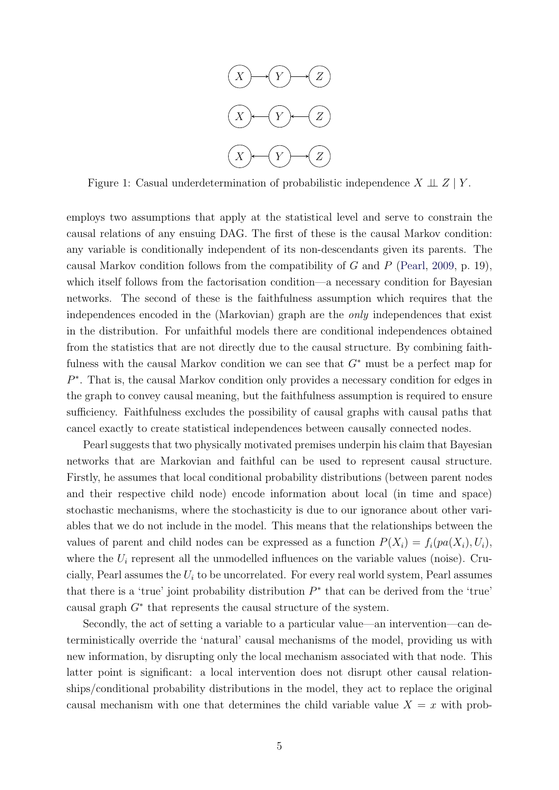

<span id="page-4-0"></span>Figure 1: Casual underdetermination of probabilistic independence  $X \perp Z \mid Y$ .

employs two assumptions that apply at the statistical level and serve to constrain the causal relations of any ensuing DAG. The first of these is the causal Markov condition: any variable is conditionally independent of its non-descendants given its parents. The causal Markov condition follows from the compatibility of  $G$  and  $P$  [\(Pearl,](#page-12-0) [2009,](#page-12-0) p. 19), which itself follows from the factorisation condition—a necessary condition for Bayesian networks. The second of these is the faithfulness assumption which requires that the independences encoded in the (Markovian) graph are the only independences that exist in the distribution. For unfaithful models there are conditional independences obtained from the statistics that are not directly due to the causal structure. By combining faithfulness with the causal Markov condition we can see that  $G^*$  must be a perfect map for P<sup>\*</sup>. That is, the causal Markov condition only provides a necessary condition for edges in the graph to convey causal meaning, but the faithfulness assumption is required to ensure sufficiency. Faithfulness excludes the possibility of causal graphs with causal paths that cancel exactly to create statistical independences between causally connected nodes.

Pearl suggests that two physically motivated premises underpin his claim that Bayesian networks that are Markovian and faithful can be used to represent causal structure. Firstly, he assumes that local conditional probability distributions (between parent nodes and their respective child node) encode information about local (in time and space) stochastic mechanisms, where the stochasticity is due to our ignorance about other variables that we do not include in the model. This means that the relationships between the values of parent and child nodes can be expressed as a function  $P(X_i) = f_i(pa(X_i), U_i)$ , where the  $U_i$  represent all the unmodelled influences on the variable values (noise). Crucially, Pearl assumes the  $U_i$  to be uncorrelated. For every real world system, Pearl assumes that there is a 'true' joint probability distribution  $P^*$  that can be derived from the 'true' causal graph  $G^*$  that represents the causal structure of the system.

Secondly, the act of setting a variable to a particular value—an intervention—can deterministically override the 'natural' causal mechanisms of the model, providing us with new information, by disrupting only the local mechanism associated with that node. This latter point is significant: a local intervention does not disrupt other causal relationships/conditional probability distributions in the model, they act to replace the original causal mechanism with one that determines the child variable value  $X = x$  with prob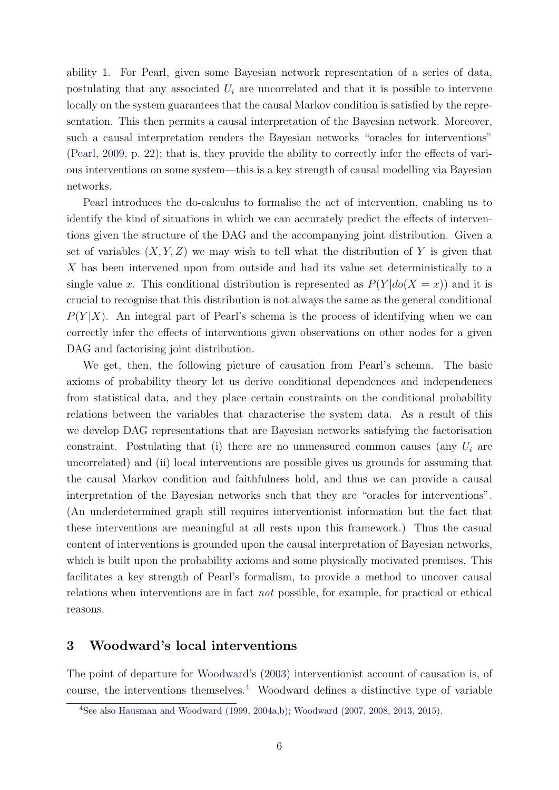ability 1. For Pearl, given some Bayesian network representation of a series of data, postulating that any associated  $U_i$  are uncorrelated and that it is possible to intervene locally on the system guarantees that the causal Markov condition is satisfied by the representation. This then permits a causal interpretation of the Bayesian network. Moreover, such a causal interpretation renders the Bayesian networks "oracles for interventions" [\(Pearl,](#page-12-0) [2009,](#page-12-0) p. 22); that is, they provide the ability to correctly infer the effects of various interventions on some system—this is a key strength of causal modelling via Bayesian networks.

Pearl introduces the do-calculus to formalise the act of intervention, enabling us to identify the kind of situations in which we can accurately predict the effects of interventions given the structure of the DAG and the accompanying joint distribution. Given a set of variables  $(X, Y, Z)$  we may wish to tell what the distribution of Y is given that X has been intervened upon from outside and had its value set deterministically to a single value x. This conditional distribution is represented as  $P(Y|do(X = x))$  and it is crucial to recognise that this distribution is not always the same as the general conditional  $P(Y|X)$ . An integral part of Pearl's schema is the process of identifying when we can correctly infer the effects of interventions given observations on other nodes for a given DAG and factorising joint distribution.

We get, then, the following picture of causation from Pearl's schema. The basic axioms of probability theory let us derive conditional dependences and independences from statistical data, and they place certain constraints on the conditional probability relations between the variables that characterise the system data. As a result of this we develop DAG representations that are Bayesian networks satisfying the factorisation constraint. Postulating that (i) there are no unmeasured common causes (any  $U_i$  are uncorrelated) and (ii) local interventions are possible gives us grounds for assuming that the causal Markov condition and faithfulness hold, and thus we can provide a causal interpretation of the Bayesian networks such that they are "oracles for interventions". (An underdetermined graph still requires interventionist information but the fact that these interventions are meaningful at all rests upon this framework.) Thus the casual content of interventions is grounded upon the causal interpretation of Bayesian networks, which is built upon the probability axioms and some physically motivated premises. This facilitates a key strength of Pearl's formalism, to provide a method to uncover causal relations when interventions are in fact not possible, for example, for practical or ethical reasons.

#### <span id="page-5-0"></span>3 Woodward's local interventions

The point of departure for [Woodward'](#page-13-0)s [\(2003\)](#page-13-0) interventionist account of causation is, of course, the interventions themselves.[4](#page-5-1) Woodward defines a distinctive type of variable

<span id="page-5-1"></span><sup>4</sup>See also [Hausman and Woodward](#page-12-4) [\(1999,](#page-12-4) [2004a,](#page-12-5)[b\)](#page-12-6); [Woodward](#page-13-1) [\(2007,](#page-13-1) [2008,](#page-13-2) [2013,](#page-13-3) [2015\)](#page-13-4).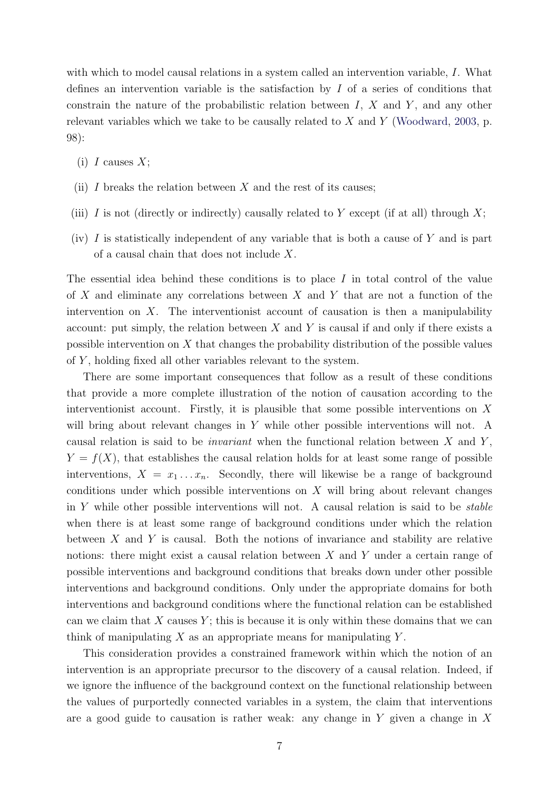with which to model causal relations in a system called an intervention variable, I. What defines an intervention variable is the satisfaction by I of a series of conditions that constrain the nature of the probabilistic relation between  $I, X$  and  $Y$ , and any other relevant variables which we take to be causally related to  $X$  and  $Y$  [\(Woodward,](#page-13-0) [2003,](#page-13-0) p. 98):

- (i) I causes  $X$ ;
- (ii) I breaks the relation between X and the rest of its causes;
- (iii) I is not (directly or indirectly) causally related to Y except (if at all) through  $X$ ;
- (iv)  $I$  is statistically independent of any variable that is both a cause of  $Y$  and is part of a causal chain that does not include X.

The essential idea behind these conditions is to place I in total control of the value of X and eliminate any correlations between X and Y that are not a function of the intervention on  $X$ . The interventionist account of causation is then a manipulability account: put simply, the relation between  $X$  and  $Y$  is causal if and only if there exists a possible intervention on  $X$  that changes the probability distribution of the possible values of  $Y$ , holding fixed all other variables relevant to the system.

There are some important consequences that follow as a result of these conditions that provide a more complete illustration of the notion of causation according to the interventionist account. Firstly, it is plausible that some possible interventions on  $X$ will bring about relevant changes in Y while other possible interventions will not. A causal relation is said to be *invariant* when the functional relation between X and Y,  $Y = f(X)$ , that establishes the causal relation holds for at least some range of possible interventions,  $X = x_1 \dots x_n$ . Secondly, there will likewise be a range of background conditions under which possible interventions on  $X$  will bring about relevant changes in Y while other possible interventions will not. A causal relation is said to be *stable* when there is at least some range of background conditions under which the relation between  $X$  and  $Y$  is causal. Both the notions of invariance and stability are relative notions: there might exist a causal relation between X and Y under a certain range of possible interventions and background conditions that breaks down under other possible interventions and background conditions. Only under the appropriate domains for both interventions and background conditions where the functional relation can be established can we claim that X causes  $Y$ ; this is because it is only within these domains that we can think of manipulating  $X$  as an appropriate means for manipulating  $Y$ .

This consideration provides a constrained framework within which the notion of an intervention is an appropriate precursor to the discovery of a causal relation. Indeed, if we ignore the influence of the background context on the functional relationship between the values of purportedly connected variables in a system, the claim that interventions are a good guide to causation is rather weak: any change in  $Y$  given a change in  $X$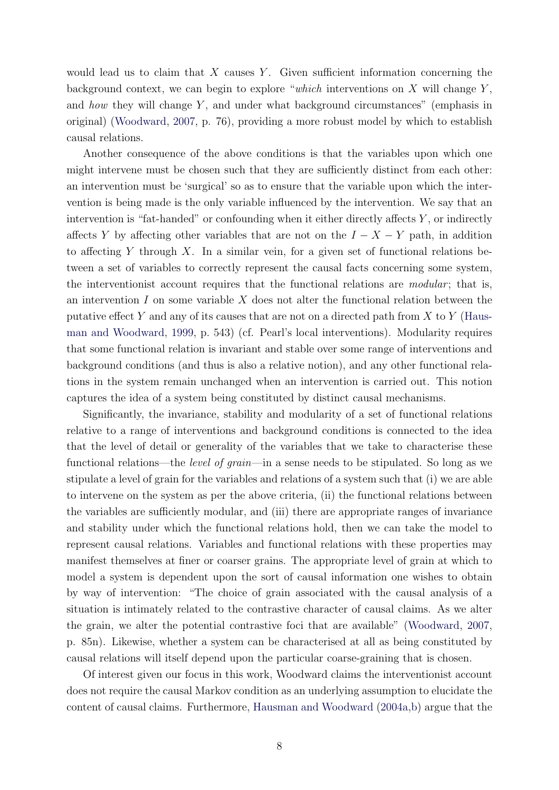would lead us to claim that  $X$  causes  $Y$ . Given sufficient information concerning the background context, we can begin to explore "which interventions on  $X$  will change  $Y$ , and how they will change  $Y$ , and under what background circumstances" (emphasis in original) [\(Woodward,](#page-13-1) [2007,](#page-13-1) p. 76), providing a more robust model by which to establish causal relations.

Another consequence of the above conditions is that the variables upon which one might intervene must be chosen such that they are sufficiently distinct from each other: an intervention must be 'surgical' so as to ensure that the variable upon which the intervention is being made is the only variable influenced by the intervention. We say that an intervention is "fat-handed" or confounding when it either directly affects  $Y$ , or indirectly affects Y by affecting other variables that are not on the  $I - X - Y$  path, in addition to affecting Y through X. In a similar vein, for a given set of functional relations between a set of variables to correctly represent the causal facts concerning some system, the interventionist account requires that the functional relations are *modular*; that is, an intervention  $I$  on some variable  $X$  does not alter the functional relation between the putative effect Y and any of its causes that are not on a directed path from X to Y [\(Haus](#page-12-4)[man and Woodward,](#page-12-4) [1999,](#page-12-4) p. 543) (cf. Pearl's local interventions). Modularity requires that some functional relation is invariant and stable over some range of interventions and background conditions (and thus is also a relative notion), and any other functional relations in the system remain unchanged when an intervention is carried out. This notion captures the idea of a system being constituted by distinct causal mechanisms.

Significantly, the invariance, stability and modularity of a set of functional relations relative to a range of interventions and background conditions is connected to the idea that the level of detail or generality of the variables that we take to characterise these functional relations—the *level of grain—*in a sense needs to be stipulated. So long as we stipulate a level of grain for the variables and relations of a system such that (i) we are able to intervene on the system as per the above criteria, (ii) the functional relations between the variables are sufficiently modular, and (iii) there are appropriate ranges of invariance and stability under which the functional relations hold, then we can take the model to represent causal relations. Variables and functional relations with these properties may manifest themselves at finer or coarser grains. The appropriate level of grain at which to model a system is dependent upon the sort of causal information one wishes to obtain by way of intervention: "The choice of grain associated with the causal analysis of a situation is intimately related to the contrastive character of causal claims. As we alter the grain, we alter the potential contrastive foci that are available" [\(Woodward,](#page-13-1) [2007,](#page-13-1) p. 85n). Likewise, whether a system can be characterised at all as being constituted by causal relations will itself depend upon the particular coarse-graining that is chosen.

Of interest given our focus in this work, Woodward claims the interventionist account does not require the causal Markov condition as an underlying assumption to elucidate the content of causal claims. Furthermore, [Hausman and Woodward](#page-12-5) [\(2004a,](#page-12-5)[b\)](#page-12-6) argue that the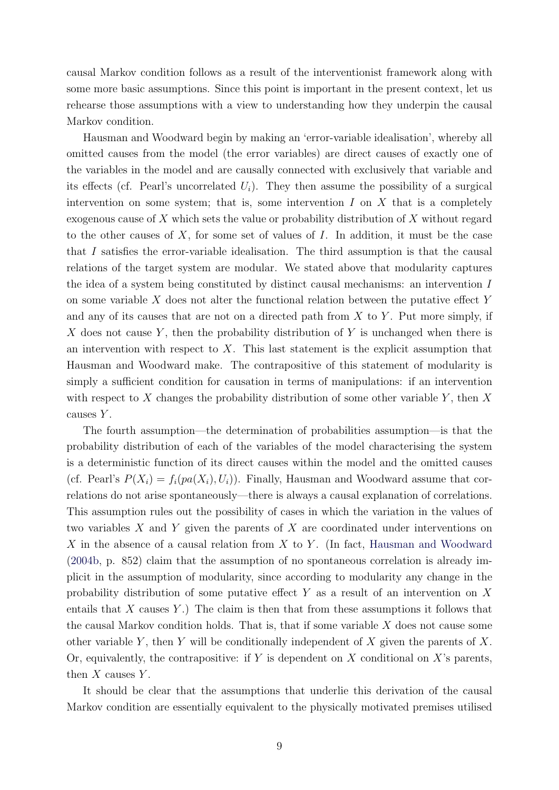causal Markov condition follows as a result of the interventionist framework along with some more basic assumptions. Since this point is important in the present context, let us rehearse those assumptions with a view to understanding how they underpin the causal Markov condition.

Hausman and Woodward begin by making an 'error-variable idealisation', whereby all omitted causes from the model (the error variables) are direct causes of exactly one of the variables in the model and are causally connected with exclusively that variable and its effects (cf. Pearl's uncorrelated  $U_i$ ). They then assume the possibility of a surgical intervention on some system; that is, some intervention  $I$  on  $X$  that is a completely exogenous cause of X which sets the value or probability distribution of X without regard to the other causes of  $X$ , for some set of values of  $I$ . In addition, it must be the case that I satisfies the error-variable idealisation. The third assumption is that the causal relations of the target system are modular. We stated above that modularity captures the idea of a system being constituted by distinct causal mechanisms: an intervention I on some variable  $X$  does not alter the functional relation between the putative effect  $Y$ and any of its causes that are not on a directed path from  $X$  to  $Y$ . Put more simply, if X does not cause Y, then the probability distribution of Y is unchanged when there is an intervention with respect to  $X$ . This last statement is the explicit assumption that Hausman and Woodward make. The contrapositive of this statement of modularity is simply a sufficient condition for causation in terms of manipulations: if an intervention with respect to X changes the probability distribution of some other variable  $Y$ , then X causes Y.

The fourth assumption—the determination of probabilities assumption—is that the probability distribution of each of the variables of the model characterising the system is a deterministic function of its direct causes within the model and the omitted causes (cf. Pearl's  $P(X_i) = f_i(pa(X_i), U_i)$ ). Finally, Hausman and Woodward assume that correlations do not arise spontaneously—there is always a causal explanation of correlations. This assumption rules out the possibility of cases in which the variation in the values of two variables  $X$  and  $Y$  given the parents of  $X$  are coordinated under interventions on X in the absence of a causal relation from X to Y. (In fact, [Hausman and Woodward](#page-12-6) [\(2004b,](#page-12-6) p. 852) claim that the assumption of no spontaneous correlation is already implicit in the assumption of modularity, since according to modularity any change in the probability distribution of some putative effect Y as a result of an intervention on X entails that  $X$  causes  $Y$ .) The claim is then that from these assumptions it follows that the causal Markov condition holds. That is, that if some variable  $X$  does not cause some other variable Y, then Y will be conditionally independent of X given the parents of X. Or, equivalently, the contrapositive: if Y is dependent on X conditional on X's parents, then  $X$  causes  $Y$ .

It should be clear that the assumptions that underlie this derivation of the causal Markov condition are essentially equivalent to the physically motivated premises utilised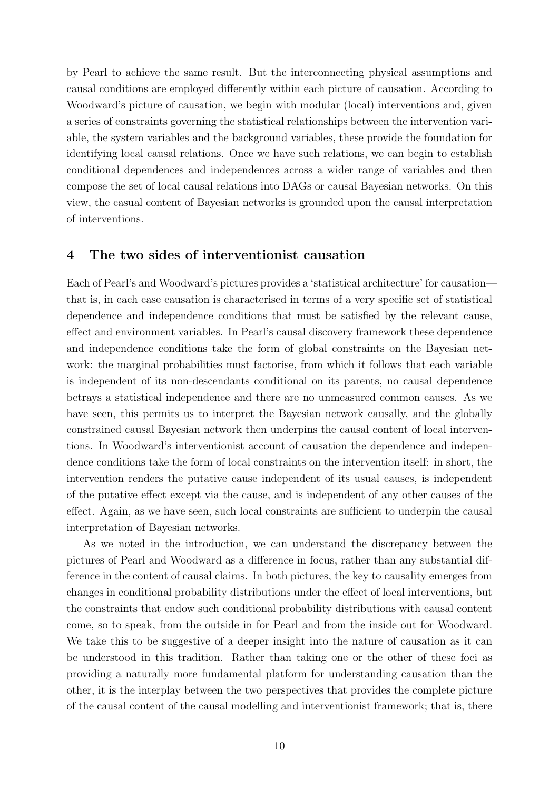by Pearl to achieve the same result. But the interconnecting physical assumptions and causal conditions are employed differently within each picture of causation. According to Woodward's picture of causation, we begin with modular (local) interventions and, given a series of constraints governing the statistical relationships between the intervention variable, the system variables and the background variables, these provide the foundation for identifying local causal relations. Once we have such relations, we can begin to establish conditional dependences and independences across a wider range of variables and then compose the set of local causal relations into DAGs or causal Bayesian networks. On this view, the casual content of Bayesian networks is grounded upon the causal interpretation of interventions.

### <span id="page-9-0"></span>4 The two sides of interventionist causation

Each of Pearl's and Woodward's pictures provides a 'statistical architecture' for causation that is, in each case causation is characterised in terms of a very specific set of statistical dependence and independence conditions that must be satisfied by the relevant cause, effect and environment variables. In Pearl's causal discovery framework these dependence and independence conditions take the form of global constraints on the Bayesian network: the marginal probabilities must factorise, from which it follows that each variable is independent of its non-descendants conditional on its parents, no causal dependence betrays a statistical independence and there are no unmeasured common causes. As we have seen, this permits us to interpret the Bayesian network causally, and the globally constrained causal Bayesian network then underpins the causal content of local interventions. In Woodward's interventionist account of causation the dependence and independence conditions take the form of local constraints on the intervention itself: in short, the intervention renders the putative cause independent of its usual causes, is independent of the putative effect except via the cause, and is independent of any other causes of the effect. Again, as we have seen, such local constraints are sufficient to underpin the causal interpretation of Bayesian networks.

As we noted in the introduction, we can understand the discrepancy between the pictures of Pearl and Woodward as a difference in focus, rather than any substantial difference in the content of causal claims. In both pictures, the key to causality emerges from changes in conditional probability distributions under the effect of local interventions, but the constraints that endow such conditional probability distributions with causal content come, so to speak, from the outside in for Pearl and from the inside out for Woodward. We take this to be suggestive of a deeper insight into the nature of causation as it can be understood in this tradition. Rather than taking one or the other of these foci as providing a naturally more fundamental platform for understanding causation than the other, it is the interplay between the two perspectives that provides the complete picture of the causal content of the causal modelling and interventionist framework; that is, there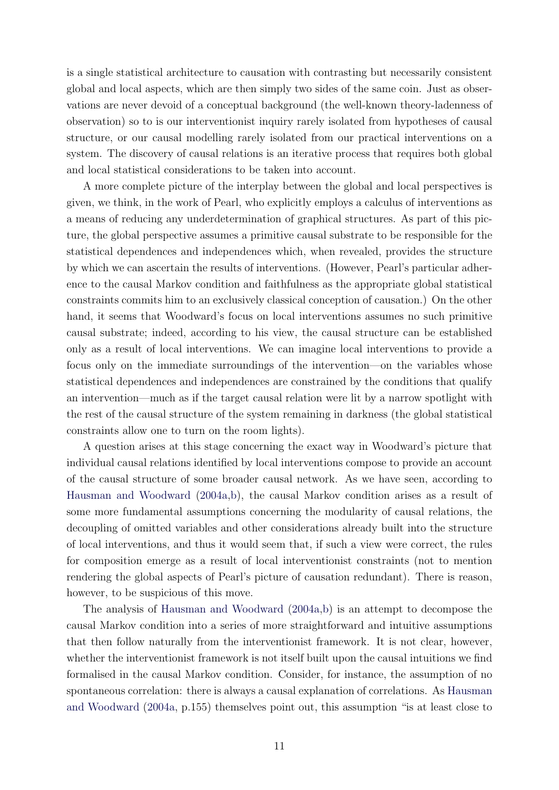is a single statistical architecture to causation with contrasting but necessarily consistent global and local aspects, which are then simply two sides of the same coin. Just as observations are never devoid of a conceptual background (the well-known theory-ladenness of observation) so to is our interventionist inquiry rarely isolated from hypotheses of causal structure, or our causal modelling rarely isolated from our practical interventions on a system. The discovery of causal relations is an iterative process that requires both global and local statistical considerations to be taken into account.

A more complete picture of the interplay between the global and local perspectives is given, we think, in the work of Pearl, who explicitly employs a calculus of interventions as a means of reducing any underdetermination of graphical structures. As part of this picture, the global perspective assumes a primitive causal substrate to be responsible for the statistical dependences and independences which, when revealed, provides the structure by which we can ascertain the results of interventions. (However, Pearl's particular adherence to the causal Markov condition and faithfulness as the appropriate global statistical constraints commits him to an exclusively classical conception of causation.) On the other hand, it seems that Woodward's focus on local interventions assumes no such primitive causal substrate; indeed, according to his view, the causal structure can be established only as a result of local interventions. We can imagine local interventions to provide a focus only on the immediate surroundings of the intervention—on the variables whose statistical dependences and independences are constrained by the conditions that qualify an intervention—much as if the target causal relation were lit by a narrow spotlight with the rest of the causal structure of the system remaining in darkness (the global statistical constraints allow one to turn on the room lights).

A question arises at this stage concerning the exact way in Woodward's picture that individual causal relations identified by local interventions compose to provide an account of the causal structure of some broader causal network. As we have seen, according to [Hausman and Woodward](#page-12-5) [\(2004a,](#page-12-5)[b\)](#page-12-6), the causal Markov condition arises as a result of some more fundamental assumptions concerning the modularity of causal relations, the decoupling of omitted variables and other considerations already built into the structure of local interventions, and thus it would seem that, if such a view were correct, the rules for composition emerge as a result of local interventionist constraints (not to mention rendering the global aspects of Pearl's picture of causation redundant). There is reason, however, to be suspicious of this move.

The analysis of [Hausman and Woodward](#page-12-5) [\(2004a,](#page-12-5)[b\)](#page-12-6) is an attempt to decompose the causal Markov condition into a series of more straightforward and intuitive assumptions that then follow naturally from the interventionist framework. It is not clear, however, whether the interventionist framework is not itself built upon the causal intuitions we find formalised in the causal Markov condition. Consider, for instance, the assumption of no spontaneous correlation: there is always a causal explanation of correlations. As [Hausman](#page-12-5) [and Woodward](#page-12-5) [\(2004a,](#page-12-5) p.155) themselves point out, this assumption "is at least close to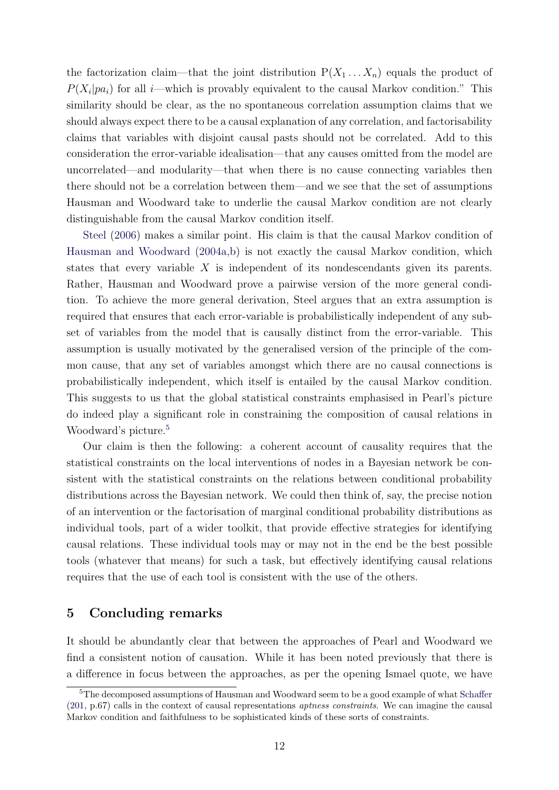the factorization claim—that the joint distribution  $P(X_1 \ldots X_n)$  equals the product of  $P(X_i|pa_i)$  for all *i*—which is provably equivalent to the causal Markov condition." This similarity should be clear, as the no spontaneous correlation assumption claims that we should always expect there to be a causal explanation of any correlation, and factorisability claims that variables with disjoint causal pasts should not be correlated. Add to this consideration the error-variable idealisation—that any causes omitted from the model are uncorrelated—and modularity—that when there is no cause connecting variables then there should not be a correlation between them—and we see that the set of assumptions Hausman and Woodward take to underlie the causal Markov condition are not clearly distinguishable from the causal Markov condition itself.

[Steel](#page-12-7) [\(2006\)](#page-12-7) makes a similar point. His claim is that the causal Markov condition of [Hausman and Woodward](#page-12-5) [\(2004a,](#page-12-5)[b\)](#page-12-6) is not exactly the causal Markov condition, which states that every variable X is independent of its nondescendants given its parents. Rather, Hausman and Woodward prove a pairwise version of the more general condition. To achieve the more general derivation, Steel argues that an extra assumption is required that ensures that each error-variable is probabilistically independent of any subset of variables from the model that is causally distinct from the error-variable. This assumption is usually motivated by the generalised version of the principle of the common cause, that any set of variables amongst which there are no causal connections is probabilistically independent, which itself is entailed by the causal Markov condition. This suggests to us that the global statistical constraints emphasised in Pearl's picture do indeed play a significant role in constraining the composition of causal relations in Woodward's picture.<sup>[5](#page-11-0)</sup>

Our claim is then the following: a coherent account of causality requires that the statistical constraints on the local interventions of nodes in a Bayesian network be consistent with the statistical constraints on the relations between conditional probability distributions across the Bayesian network. We could then think of, say, the precise notion of an intervention or the factorisation of marginal conditional probability distributions as individual tools, part of a wider toolkit, that provide effective strategies for identifying causal relations. These individual tools may or may not in the end be the best possible tools (whatever that means) for such a task, but effectively identifying causal relations requires that the use of each tool is consistent with the use of the others.

## 5 Concluding remarks

It should be abundantly clear that between the approaches of Pearl and Woodward we find a consistent notion of causation. While it has been noted previously that there is a difference in focus between the approaches, as per the opening Ismael quote, we have

<span id="page-11-0"></span><sup>&</sup>lt;sup>5</sup>The decomposed assumptions of Hausman and Woodward seem to be a good example of what [Schaffer](#page-12-8)  $(201, p.67)$  $(201, p.67)$  calls in the context of causal representations *aptness constraints*. We can imagine the causal Markov condition and faithfulness to be sophisticated kinds of these sorts of constraints.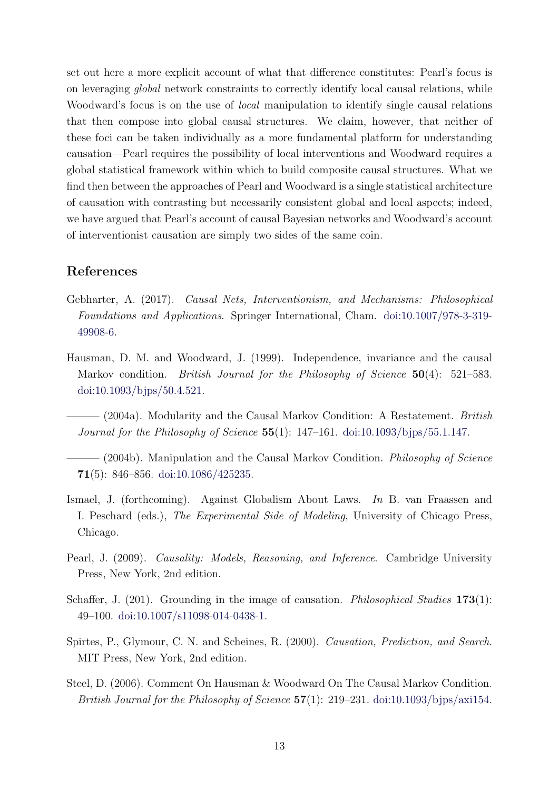set out here a more explicit account of what that difference constitutes: Pearl's focus is on leveraging global network constraints to correctly identify local causal relations, while Woodward's focus is on the use of *local* manipulation to identify single causal relations that then compose into global causal structures. We claim, however, that neither of these foci can be taken individually as a more fundamental platform for understanding causation—Pearl requires the possibility of local interventions and Woodward requires a global statistical framework within which to build composite causal structures. What we find then between the approaches of Pearl and Woodward is a single statistical architecture of causation with contrasting but necessarily consistent global and local aspects; indeed, we have argued that Pearl's account of causal Bayesian networks and Woodward's account of interventionist causation are simply two sides of the same coin.

### References

- <span id="page-12-3"></span>Gebharter, A. (2017). Causal Nets, Interventionism, and Mechanisms: Philosophical Foundations and Applications. Springer International, Cham. [doi:10.1007/978-3-319-](http://dx.doi.org/10.1007/978-3-319-49908-6) [49908-6.](http://dx.doi.org/10.1007/978-3-319-49908-6)
- <span id="page-12-4"></span>Hausman, D. M. and Woodward, J. (1999). Independence, invariance and the causal Markov condition. British Journal for the Philosophy of Science  $50(4)$ : 521–583. [doi:10.1093/bjps/50.4.521.](http://dx.doi.org/10.1093/bjps/50.4.521)
- <span id="page-12-5"></span> $-$  (2004a). Modularity and the Causal Markov Condition: A Restatement. British *Journal for the Philosophy of Science*  $55(1)$ : 147-161. [doi:10.1093/bjps/55.1.147.](http://dx.doi.org/10.1093/bjps/55.1.147)
- <span id="page-12-6"></span> $-$  (2004b). Manipulation and the Causal Markov Condition. *Philosophy of Science* 71(5): 846–856. [doi:10.1086/425235.](http://dx.doi.org/10.1086/425235)
- <span id="page-12-1"></span>Ismael, J. (forthcoming). Against Globalism About Laws. In B. van Fraassen and I. Peschard (eds.), The Experimental Side of Modeling, University of Chicago Press, Chicago.
- <span id="page-12-0"></span>Pearl, J. (2009). Causality: Models, Reasoning, and Inference. Cambridge University Press, New York, 2nd edition.
- <span id="page-12-8"></span>Schaffer, J.  $(201)$ . Grounding in the image of causation. *Philosophical Studies* 173(1): 49–100. [doi:10.1007/s11098-014-0438-1.](http://dx.doi.org/10.1007/s11098-014-0438-1)
- <span id="page-12-2"></span>Spirtes, P., Glymour, C. N. and Scheines, R. (2000). Causation, Prediction, and Search. MIT Press, New York, 2nd edition.
- <span id="page-12-7"></span>Steel, D. (2006). Comment On Hausman & Woodward On The Causal Markov Condition. British Journal for the Philosophy of Science  $57(1)$ : 219–231. [doi:10.1093/bjps/axi154.](http://dx.doi.org/10.1093/bjps/axi154)